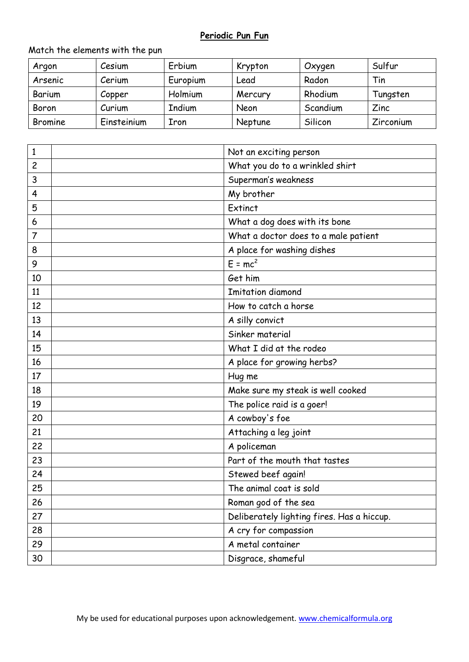## **Periodic Pun Fun**

## Match the elements with the pun

| Argon          | Cesium      | Erbium   | Krypton | Oxygen   | Sulfur    |
|----------------|-------------|----------|---------|----------|-----------|
| Arsenic        | Cerium      | Europium | Lead    | Radon    | Tin       |
| Barium         | Copper      | Holmium  | Mercury | Rhodium  | Tungsten  |
| Boron          | Curium      | Indium   | Neon    | Scandium | Zinc      |
| <b>Bromine</b> | Einsteinium | Iron     | Neptune | Silicon  | Zirconium |

| 1  | Not an exciting person                     |
|----|--------------------------------------------|
| 2  | What you do to a wrinkled shirt            |
| 3  | Superman's weakness                        |
| 4  | My brother                                 |
| 5  | Extinct                                    |
| 6  | What a dog does with its bone              |
| 7  | What a doctor does to a male patient       |
| 8  | A place for washing dishes                 |
| 9  | $E = mc^2$                                 |
| 10 | Get him                                    |
| 11 | <b>Imitation diamond</b>                   |
| 12 | How to catch a horse                       |
| 13 | A silly convict                            |
| 14 | Sinker material                            |
| 15 | What I did at the rodeo                    |
| 16 | A place for growing herbs?                 |
| 17 | Hug me                                     |
| 18 | Make sure my steak is well cooked          |
| 19 | The police raid is a goer!                 |
| 20 | A cowboy's foe                             |
| 21 | Attaching a leg joint                      |
| 22 | A policeman                                |
| 23 | Part of the mouth that tastes              |
| 24 | Stewed beef again!                         |
| 25 | The animal coat is sold                    |
| 26 | Roman god of the sea                       |
| 27 | Deliberately lighting fires. Has a hiccup. |
| 28 | A cry for compassion                       |
| 29 | A metal container                          |
| 30 | Disgrace, shameful                         |